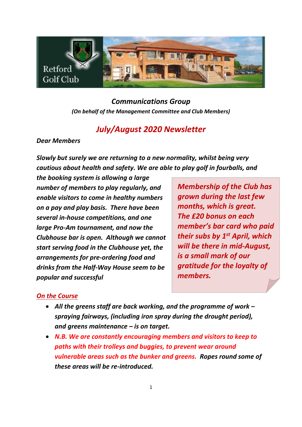

*Communications Group (On behalf of the Management Committee and Club Members)*

# *July/August 2020 Newsletter*

*Dear Members*

*Slowly but surely we are returning to a new normality, whilst being very cautious about health and safety. We are able to play golf in fourballs, and* 

*the booking system is allowing a large number of members to play regularly, and enable visitors to come in healthy numbers on a pay and play basis. There have been several in-house competitions, and one large Pro-Am tournament, and now the Clubhouse bar is open. Although we cannot start serving food in the Clubhouse yet, the arrangements for pre-ordering food and drinks from the Half-Way House seem to be popular and successful*

*Membership of the Club has grown during the last few months, which is great. The £20 bonus on each member's bar card who paid their subs by 1st April, which will be there in mid-August, is a small mark of our gratitude for the loyalty of members.*

## *On the Course*

- *All the greens staff are back working, and the programme of work – spraying fairways, (including iron spray during the drought period), and greens maintenance – is on target.*
- *N.B. We are constantly encouraging members and visitors to keep to paths with their trolleys and buggies, to prevent wear around vulnerable areas such as the bunker and greens. Ropes round some of these areas will be re-introduced.*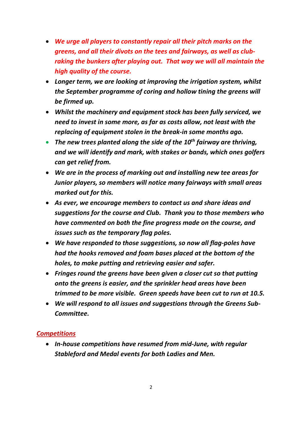- *We urge all players to constantly repair all their pitch marks on the greens, and all their divots on the tees and fairways, as well as clubraking the bunkers after playing out. That way we will all maintain the high quality of the course.*
- *Longer term, we are looking at improving the irrigation system, whilst the September programme of coring and hollow tining the greens will be firmed up.*
- *Whilst the machinery and equipment stock has been fully serviced, we need to invest in some more, as far as costs allow, not least with the replacing of equipment stolen in the break-in some months ago.*
- *The new trees planted along the side of the 10th fairway are thriving, and we will identify and mark, with stakes or bands, which ones golfers can get relief from.*
- *We are in the process of marking out and installing new tee areas for Junior players, so members will notice many fairways with small areas marked out for this.*
- *As ever, we encourage members to contact us and share ideas and suggestions for the course and Club. Thank you to those members who have commented on both the fine progress made on the course, and issues such as the temporary flag poles.*
- *We have responded to those suggestions, so now all flag-poles have had the hooks removed and foam bases placed at the bottom of the holes, to make putting and retrieving easier and safer.*
- *Fringes round the greens have been given a closer cut so that putting onto the greens is easier, and the sprinkler head areas have been trimmed to be more visible. Green speeds have been cut to run at 10.5.*
- *We will respond to all issues and suggestions through the Greens Sub-Committee.*

## *Competitions*

• *In-house competitions have resumed from mid-June, with regular Stableford and Medal events for both Ladies and Men.*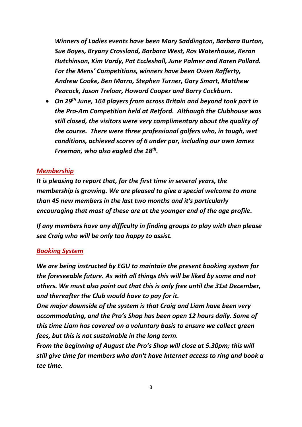*Winners of Ladies events have been Mary Saddington, Barbara Burton, Sue Boyes, Bryany Crossland, Barbara West, Ros Waterhouse, Keran Hutchinson, Kim Vardy, Pat Eccleshall, June Palmer and Karen Pollard. For the Mens' Competitions, winners have been Owen Rafferty, Andrew Cooke, Ben Marro, Stephen Turner, Gary Smart, Matthew Peacock, Jason Treloar, Howard Cooper and Barry Cockburn.*

• *On 29th June, 164 players from across Britain and beyond took part in the Pro-Am Competition held at Retford. Although the Clubhouse was still closed, the visitors were very complimentary about the quality of the course. There were three professional golfers who, in tough, wet conditions, achieved scores of 6 under par, including our own James Freeman, who also eagled the 18th .*

#### *Membership*

*It is pleasing to report that, for the first time in several years, the membership is growing. We are pleased to give a special welcome to more than 45 new members in the last two months and it's particularly encouraging that most of these are at the younger end of the age profile.* 

*If any members have any difficulty in finding groups to play with then please see Craig who will be only too happy to assist.*

#### *Booking System*

*We are being instructed by EGU to maintain the present booking system for the foreseeable future. As with all things this will be liked by some and not others. We must also point out that this is only free until the 31st December, and thereafter the Club would have to pay for it.* 

*One major downside of the system is that Craig and Liam have been very accommodating, and the Pro's Shop has been open 12 hours daily. Some of this time Liam has covered on a voluntary basis to ensure we collect green fees, but this is not sustainable in the long term.* 

*From the beginning of August the Pro's Shop will close at 5.30pm; this will still give time for members who don't have Internet access to ring and book a tee time.*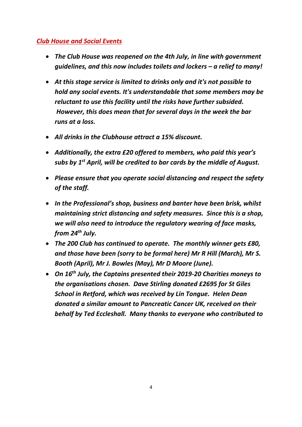## *Club House and Social Events*

- *The Club House was reopened on the 4th July, in line with government guidelines, and this now includes toilets and lockers – a relief to many!*
- *At this stage service is limited to drinks only and it's not possible to hold any social events. It's understandable that some members may be reluctant to use this facility until the risks have further subsided. However, this does mean that for several days in the week the bar runs at a loss.*
- *All drinks in the Clubhouse attract a 15% discount.*
- *Additionally, the extra £20 offered to members, who paid this year's subs by 1st April, will be credited to bar cards by the middle of August.*
- *Please ensure that you operate social distancing and respect the safety of the staff.*
- *In the Professional's shop, business and banter have been brisk, whilst maintaining strict distancing and safety measures. Since this is a shop, we will also need to introduce the regulatory wearing of face masks, from 24th July.*
- *The 200 Club has continued to operate. The monthly winner gets £80, and those have been (sorry to be formal here) Mr R Hill (March), Mr S. Booth (April), Mr J. Bowles (May), Mr D Moore (June).*
- *On 16th July, the Captains presented their 2019-20 Charities moneys to the organisations chosen. Dave Stirling donated £2695 for St Giles School in Retford, which was received by Lin Tongue. Helen Dean donated a similar amount to Pancreatic Cancer UK, received on their behalf by Ted Eccleshall. Many thanks to everyone who contributed to*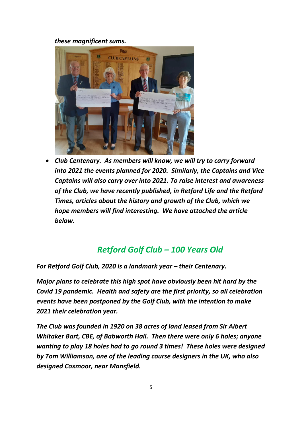#### *these magnificent sums.*



• *Club Centenary. As members will know, we will try to carry forward into 2021 the events planned for 2020. Similarly, the Captains and Vice Captains will also carry over into 2021. To raise interest and awareness of the Club, we have recently published, in Retford Life and the Retford Times, articles about the history and growth of the Club, which we hope members will find interesting. We have attached the article below.*

## *Retford Golf Club – 100 Years Old*

*For Retford Golf Club, 2020 is a landmark year – their Centenary.* 

*Major plans to celebrate this high spot have obviously been hit hard by the Covid 19 pandemic. Health and safety are the first priority, so all celebration events have been postponed by the Golf Club, with the intention to make 2021 their celebration year.*

*The Club was founded in 1920 on 38 acres of land leased from Sir Albert Whitaker Bart, CBE, of Babworth Hall. Then there were only 6 holes; anyone wanting to play 18 holes had to go round 3 times! These holes were designed by Tom Williamson, one of the leading course designers in the UK, who also designed Coxmoor, near Mansfield.*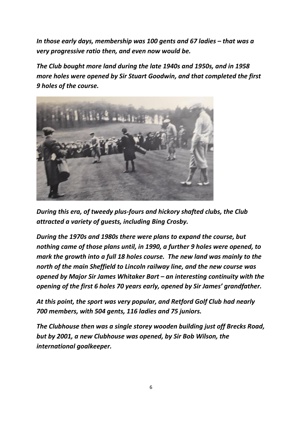*In those early days, membership was 100 gents and 67 ladies – that was a very progressive ratio then, and even now would be.*

*The Club bought more land during the late 1940s and 1950s, and in 1958 more holes were opened by Sir Stuart Goodwin, and that completed the first 9 holes of the course.*



*During this era, of tweedy plus-fours and hickory shafted clubs, the Club attracted a variety of guests, including Bing Crosby.*

*During the 1970s and 1980s there were plans to expand the course, but nothing came of those plans until, in 1990, a further 9 holes were opened, to mark the growth into a full 18 holes course. The new land was mainly to the north of the main Sheffield to Lincoln railway line, and the new course was opened by Major Sir James Whitaker Bart – an interesting continuity with the opening of the first 6 holes 70 years early, opened by Sir James' grandfather.*

*At this point, the sport was very popular, and Retford Golf Club had nearly 700 members, with 504 gents, 116 ladies and 75 juniors.*

*The Clubhouse then was a single storey wooden building just off Brecks Road, but by 2001, a new Clubhouse was opened, by Sir Bob Wilson, the international goalkeeper.*